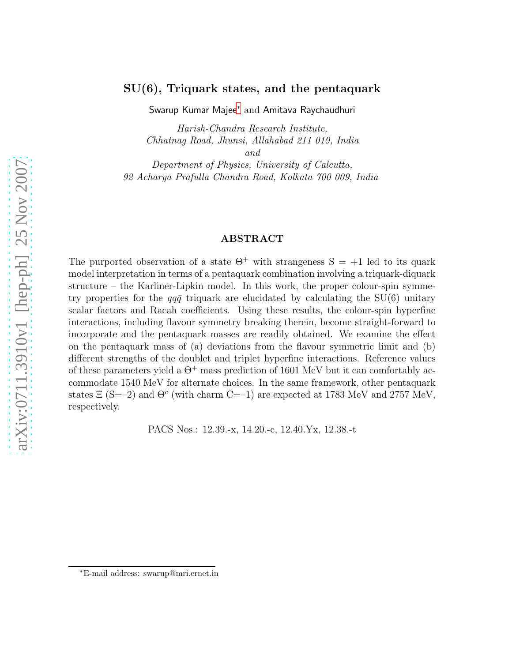### SU(6), Triquark states, and the pentaquark

Swarup Kumar Majee[∗](#page-0-0) and Amitava Raychaudhuri

Harish-Chandra Research Institute, Chhatnag Road, Jhunsi, Allahabad 211 019, India

and

Department of Physics, University of Calcutta, 92 Acharya Prafulla Chandra Road, Kolkata 700 009, India

#### ABSTRACT

The purported observation of a state  $\Theta^+$  with strangeness  $S = +1$  led to its quark model interpretation in terms of a pentaquark combination involving a triquark-diquark structure – the Karliner-Lipkin model. In this work, the proper colour-spin symmetry properties for the  $qq\bar{q}$  triquark are elucidated by calculating the SU(6) unitary scalar factors and Racah coefficients. Using these results, the colour-spin hyperfine interactions, including flavour symmetry breaking therein, become straight-forward to incorporate and the pentaquark masses are readily obtained. We examine the effect on the pentaquark mass of (a) deviations from the flavour symmetric limit and (b) different strengths of the doublet and triplet hyperfine interactions. Reference values of these parameters yield a  $\Theta^+$  mass prediction of 1601 MeV but it can comfortably accommodate 1540 MeV for alternate choices. In the same framework, other pentaquark states  $\Xi$  (S=–2) and  $\Theta^c$  (with charm C=–1) are expected at 1783 MeV and 2757 MeV, respectively.

PACS Nos.: 12.39.-x, 14.20.-c, 12.40.Yx, 12.38.-t

<span id="page-0-0"></span><sup>∗</sup>E-mail address: swarup@mri.ernet.in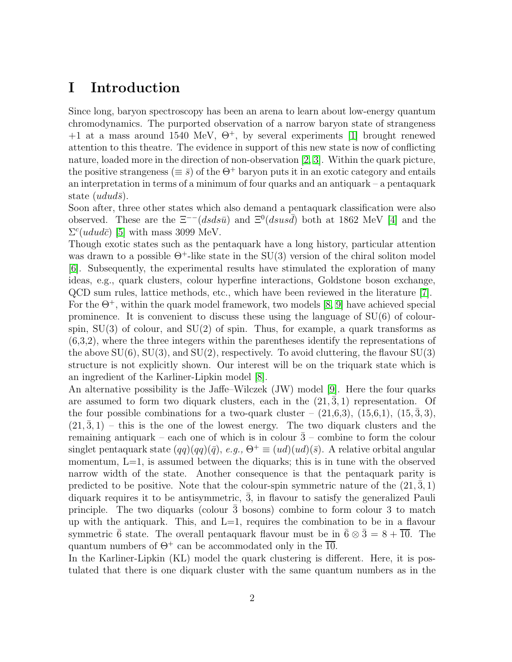# I Introduction

Since long, baryon spectroscopy has been an arena to learn about low-energy quantum chromodynamics. The purported observation of a narrow baryon state of strangeness  $+1$  at a mass around 1540 MeV,  $\Theta^+$ , by several experiments [\[1\]](#page-15-0) brought renewed attention to this theatre. The evidence in support of this new state is now of conflicting nature, loaded more in the direction of non-observation [\[2,](#page-15-1) [3\]](#page-15-2). Within the quark picture, the positive strangeness ( $\equiv \bar{s}$ ) of the  $\Theta^+$  baryon puts it in an exotic category and entails an interpretation in terms of a minimum of four quarks and an antiquark – a pentaquark state  $(udud\bar{s})$ .

Soon after, three other states which also demand a pentaquark classification were also observed. These are the  $\Xi^{--}(dsds\bar{u})$  and  $\Xi^{0}(dsus\bar{d})$  both at 1862 MeV [\[4\]](#page-15-3) and the  $\Sigma^c(udud\bar{c})$  [\[5\]](#page-15-4) with mass 3099 MeV.

Though exotic states such as the pentaquark have a long history, particular attention was drawn to a possible  $\Theta^+$ -like state in the SU(3) version of the chiral soliton model [\[6\]](#page-15-5). Subsequently, the experimental results have stimulated the exploration of many ideas, e.g., quark clusters, colour hyperfine interactions, Goldstone boson exchange, QCD sum rules, lattice methods, etc., which have been reviewed in the literature [\[7\]](#page-16-0). For the  $\Theta^+$ , within the quark model framework, two models [\[8,](#page-16-1) [9\]](#page-16-2) have achieved special prominence. It is convenient to discuss these using the language of SU(6) of colourspin,  $SU(3)$  of colour, and  $SU(2)$  of spin. Thus, for example, a quark transforms as (6,3,2), where the three integers within the parentheses identify the representations of the above  $SU(6)$ ,  $SU(3)$ , and  $SU(2)$ , respectively. To avoid cluttering, the flavour  $SU(3)$ structure is not explicitly shown. Our interest will be on the triquark state which is an ingredient of the Karliner-Lipkin model [\[8\]](#page-16-1).

An alternative possibility is the Jaffe–Wilczek (JW) model [\[9\]](#page-16-2). Here the four quarks are assumed to form two diquark clusters, each in the  $(21, \bar{3}, 1)$  representation. Of the four possible combinations for a two-quark cluster –  $(21,6,3)$ ,  $(15,6,1)$ ,  $(15,\overline{3},3)$ ,  $(21, 3, 1)$  – this is the one of the lowest energy. The two diquark clusters and the remaining antiquark – each one of which is in colour  $\bar{3}$  – combine to form the colour singlet pentaquark state  $(qq)(qq)(\bar{q})$ , e.g.,  $\Theta^+ \equiv (ud)(ud)(\bar{s})$ . A relative orbital angular momentum,  $L=1$ , is assumed between the diquarks; this is in tune with the observed narrow width of the state. Another consequence is that the pentaquark parity is predicted to be positive. Note that the colour-spin symmetric nature of the  $(21, 3, 1)$ diquark requires it to be antisymmetric,  $\bar{3}$ , in flavour to satisfy the generalized Pauli principle. The two diquarks (colour  $\overline{3}$  bosons) combine to form colour 3 to match up with the antiquark. This, and  $L=1$ , requires the combination to be in a flavour symmetric  $\bar{6}$  state. The overall pentaquark flavour must be in  $\bar{6} \otimes \bar{3} = 8 + \overline{10}$ . The quantum numbers of  $\Theta^+$  can be accommodated only in the  $\overline{10}$ .

In the Karliner-Lipkin (KL) model the quark clustering is different. Here, it is postulated that there is one diquark cluster with the same quantum numbers as in the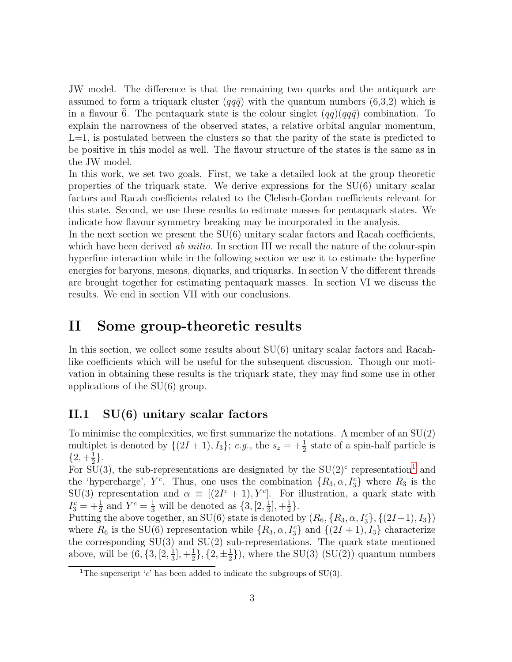JW model. The difference is that the remaining two quarks and the antiquark are assumed to form a triquark cluster  $(qq\bar{q})$  with the quantum numbers (6,3,2) which is in a flavour 6. The pentaquark state is the colour singlet  $(qq)(qq\bar{q})$  combination. To explain the narrowness of the observed states, a relative orbital angular momentum,  $L=1$ , is postulated between the clusters so that the parity of the state is predicted to be positive in this model as well. The flavour structure of the states is the same as in the JW model.

In this work, we set two goals. First, we take a detailed look at the group theoretic properties of the triquark state. We derive expressions for the  $SU(6)$  unitary scalar factors and Racah coefficients related to the Clebsch-Gordan coefficients relevant for this state. Second, we use these results to estimate masses for pentaquark states. We indicate how flavour symmetry breaking may be incorporated in the analysis.

In the next section we present the  $SU(6)$  unitary scalar factors and Racah coefficients, which have been derived ab *initio*. In section III we recall the nature of the colour-spin hyperfine interaction while in the following section we use it to estimate the hyperfine energies for baryons, mesons, diquarks, and triquarks. In section V the different threads are brought together for estimating pentaquark masses. In section VI we discuss the results. We end in section VII with our conclusions.

## <span id="page-2-1"></span>II Some group-theoretic results

In this section, we collect some results about SU(6) unitary scalar factors and Racahlike coefficients which will be useful for the subsequent discussion. Though our motivation in obtaining these results is the triquark state, they may find some use in other applications of the SU(6) group.

## II.1 SU(6) unitary scalar factors

To minimise the complexities, we first summarize the notations. A member of an SU(2) multiplet is denoted by  $\{(2I + 1), I_3\}; e.g.,$  the  $s_z = +\frac{1}{2}$  state of a spin-half particle is  $\frac{\{2, +\frac{1}{2}\}}{2}$  $\frac{1}{2}$ .

For  $SU(3)$ , the sub-representations are designated by the  $SU(2)^c$  representation<sup>[1](#page-2-0)</sup> and the 'hypercharge',  $Y^c$ . Thus, one uses the combination  $\{R_3, \alpha, I_3^c\}$  where  $R_3$  is the SU(3) representation and  $\alpha \equiv [(2I^c + 1), Y^c]$ . For illustration, a quark state with  $I_3^c = +\frac{1}{2}$  and  $Y^c = \frac{1}{3}$  will be denoted as  $\{3, [2, \frac{1}{3}]$  $\frac{1}{3}$ , + $\frac{1}{2}$  $\frac{1}{2}$ .

Putting the above together, an SU(6) state is denoted by  $(R_6, \{R_3, \alpha, I_3^c\}, \{(2I+1), I_3\})$ where  $R_6$  is the SU(6) representation while  $\{R_3, \alpha, I_3^c\}$  and  $\{(2I + 1), I_3\}$  characterize the corresponding  $SU(3)$  and  $SU(2)$  sub-representations. The quark state mentioned above, will be  $(6, \{3, [2, \frac{1}{3}$  $\frac{1}{3}$ , + $\frac{1}{2}$  $\frac{1}{2}\},\{2,\pm\frac{1}{2}\}$  $\frac{1}{2}$ }, where the SU(3) (SU(2)) quantum numbers

<span id="page-2-0"></span><sup>&</sup>lt;sup>1</sup>The superscript 'c' has been added to indicate the subgroups of SU(3).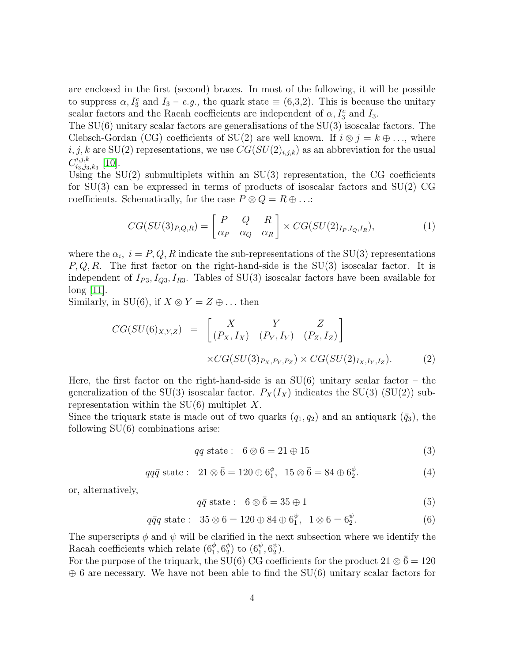are enclosed in the first (second) braces. In most of the following, it will be possible to suppress  $\alpha$ ,  $I_3^c$  and  $I_3 - e.g.$ , the quark state  $\equiv (6,3,2)$ . This is because the unitary scalar factors and the Racah coefficients are independent of  $\alpha$ ,  $I_3^c$  and  $I_3$ .

The SU(6) unitary scalar factors are generalisations of the SU(3) isoscalar factors. The Clebsch-Gordan (CG) coefficients of SU(2) are well known. If  $i \otimes j = k \oplus \ldots$ , where  $i, j, k$  are SU(2) representations, we use  $CG(SU(2)_{i,j,k})$  as an abbreviation for the usual  $C^{i,j,k}_{i_3,i_3}$  $_{i_3,j_3,k_3}^{a,j,k}$  [\[10\]](#page-16-3).

Using the  $SU(2)$  submultiplets within an  $SU(3)$  representation, the CG coefficients for SU(3) can be expressed in terms of products of isoscalar factors and SU(2) CG coefficients. Schematically, for the case  $P \otimes Q = R \oplus ...$ 

$$
CG(SU(3)_{P,Q,R}) = \begin{bmatrix} P & Q & R \\ \alpha_P & \alpha_Q & \alpha_R \end{bmatrix} \times CG(SU(2)_{I_P,I_Q,I_R}), \tag{1}
$$

where the  $\alpha_i$ ,  $i = P, Q, R$  indicate the sub-representations of the SU(3) representations  $P, Q, R$ . The first factor on the right-hand-side is the SU(3) isoscalar factor. It is independent of  $I_{P3}$ ,  $I_{Q3}$ ,  $I_{R3}$ . Tables of SU(3) isoscalar factors have been available for  $\log |11|$ .

Similarly, in SU(6), if  $X \otimes Y = Z \oplus \ldots$  then

$$
CG(SU(6)_{X,Y,Z}) = \begin{bmatrix} X & Y & Z \\ (P_X, I_X) & (P_Y, I_Y) & (P_Z, I_Z) \end{bmatrix}
$$

$$
\times CG(SU(3)_{P_X, P_Y, P_Z}) \times CG(SU(2)_{I_X, I_Y, I_Z}).
$$
(2)

Here, the first factor on the right-hand-side is an  $SU(6)$  unitary scalar factor – the generalization of the SU(3) isoscalar factor.  $P_X(I_X)$  indicates the SU(3) (SU(2)) subrepresentation within the  $SU(6)$  multiplet X.

Since the triquark state is made out of two quarks  $(q_1, q_2)$  and an antiquark  $(\bar{q}_3)$ , the following  $SU(6)$  combinations arise:

$$
qq \text{ state}: \quad 6 \otimes 6 = 21 \oplus 15 \tag{3}
$$

$$
qq\bar{q} \text{ state}: \quad 21 \otimes \bar{6} = 120 \oplus 6_1^{\phi}, \quad 15 \otimes \bar{6} = 84 \oplus 6_2^{\phi}.
$$
 (4)

or, alternatively,

$$
q\bar{q} \text{ state}: \quad 6 \otimes \bar{6} = 35 \oplus 1 \tag{5}
$$

<span id="page-3-0"></span>
$$
q\bar{q}q \text{ state}: 35 \otimes 6 = 120 \oplus 84 \oplus 6_1^{\psi}, 1 \otimes 6 = 6_2^{\psi}.
$$
 (6)

The superscripts  $\phi$  and  $\psi$  will be clarified in the next subsection where we identify the Racah coefficients which relate  $(6^\phi_1, 6^\phi_2)$  $_2^\phi)$  to  $(6^\psi_1, 6^\psi_2)$  $_{2}^{\psi}).$ 

For the purpose of the triquark, the SU(6) CG coefficients for the product  $21 \otimes \bar{6} = 120$  $\oplus$  6 are necessary. We have not been able to find the SU(6) unitary scalar factors for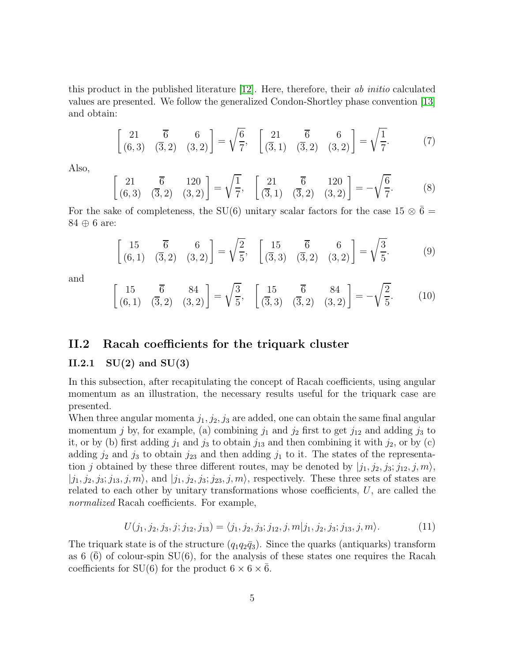this product in the published literature [\[12\]](#page-16-5). Here, therefore, their ab initio calculated values are presented. We follow the generalized Condon-Shortley phase convention [\[13\]](#page-16-6) and obtain:

<span id="page-4-0"></span>
$$
\begin{bmatrix} 21 & \overline{6} & 6 \\ (6,3) & (\overline{3},2) & (3,2) \end{bmatrix} = \sqrt{\frac{6}{7}}, \quad \begin{bmatrix} 21 & \overline{6} & 6 \\ (\overline{3},1) & (\overline{3},2) & (3,2) \end{bmatrix} = \sqrt{\frac{1}{7}}.
$$
 (7)

Also,

<span id="page-4-1"></span>
$$
\begin{bmatrix} 21 & \overline{6} & 120 \\ (6,3) & (\overline{3},2) & (3,2) \end{bmatrix} = \sqrt{\frac{1}{7}}, \quad \begin{bmatrix} 21 & \overline{6} & 120 \\ (\overline{3},1) & (\overline{3},2) & (3,2) \end{bmatrix} = -\sqrt{\frac{6}{7}}.
$$
 (8)

For the sake of completeness, the SU(6) unitary scalar factors for the case 15  $\otimes$   $\bar{6}$  = 84 ⊕ 6 are:

<span id="page-4-2"></span>
$$
\begin{bmatrix} 15 & \overline{6} & 6 \\ (6,1) & (\overline{3},2) & (3,2) \end{bmatrix} = \sqrt{\frac{2}{5}}, \quad \begin{bmatrix} 15 & \overline{6} & 6 \\ (\overline{3},3) & (\overline{3},2) & (3,2) \end{bmatrix} = \sqrt{\frac{3}{5}}.
$$
 (9)

and

<span id="page-4-3"></span>
$$
\begin{bmatrix} 15 & \overline{6} & 84 \\ (6,1) & (\overline{3},2) & (3,2) \end{bmatrix} = \sqrt{\frac{3}{5}}, \quad \begin{bmatrix} 15 & \overline{6} & 84 \\ (\overline{3},3) & (\overline{3},2) & (3,2) \end{bmatrix} = -\sqrt{\frac{2}{5}}.
$$
 (10)

### II.2 Racah coefficients for the triquark cluster

#### II.2.1  $SU(2)$  and  $SU(3)$

In this subsection, after recapitulating the concept of Racah coefficients, using angular momentum as an illustration, the necessary results useful for the triquark case are presented.

When three angular momenta  $j_1, j_2, j_3$  are added, one can obtain the same final angular momentum j by, for example, (a) combining  $j_1$  and  $j_2$  first to get  $j_{12}$  and adding  $j_3$  to it, or by (b) first adding  $j_1$  and  $j_3$  to obtain  $j_{13}$  and then combining it with  $j_2$ , or by (c) adding  $j_2$  and  $j_3$  to obtain  $j_{23}$  and then adding  $j_1$  to it. The states of the representation j obtained by these three different routes, may be denoted by  $|j_1, j_2, j_3; j_{12}, j, m\rangle$ ,  $|j_1, j_2, j_3; j_{13}, j, m\rangle$ , and  $|j_1, j_2, j_3; j_{23}, j, m\rangle$ , respectively. These three sets of states are related to each other by unitary transformations whose coefficients,  $U$ , are called the normalized Racah coefficients. For example,

$$
U(j_1, j_2, j_3, j; j_{12}, j_{13}) = \langle j_1, j_2, j_3; j_{12}, j, m | j_1, j_2, j_3; j_{13}, j, m \rangle.
$$
 (11)

The triquark state is of the structure  $(q_1q_2\bar{q}_3)$ . Since the quarks (antiquarks) transform as 6  $(\bar{6})$  of colour-spin SU(6), for the analysis of these states one requires the Racah coefficients for SU(6) for the product  $6 \times 6 \times 6$ .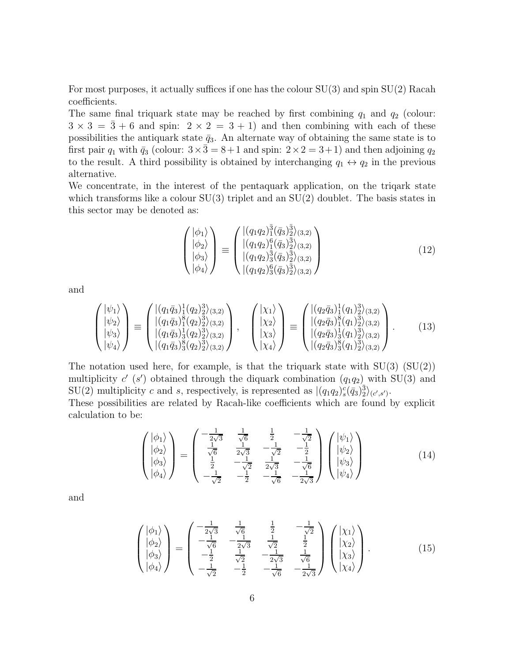For most purposes, it actually suffices if one has the colour  $SU(3)$  and spin  $SU(2)$  Racah coefficients.

The same final triquark state may be reached by first combining  $q_1$  and  $q_2$  (colour:  $3 \times 3 = \overline{3} + 6$  and spin:  $2 \times 2 = 3 + 1$  and then combining with each of these possibilities the antiquark state  $\bar{q}_3$ . An alternate way of obtaining the same state is to first pair  $q_1$  with  $\bar{q}_3$  (colour:  $3 \times \bar{3} = 8+1$  and spin:  $2 \times 2 = 3+1$ ) and then adjoining  $q_2$ to the result. A third possibility is obtained by interchanging  $q_1 \leftrightarrow q_2$  in the previous alternative.

We concentrate, in the interest of the pentaquark application, on the triqark state which transforms like a colour  $SU(3)$  triplet and an  $SU(2)$  doublet. The basis states in this sector may be denoted as:

<span id="page-5-2"></span>
$$
\begin{pmatrix} |\phi_1\rangle \\ |\phi_2\rangle \\ |\phi_3\rangle \\ |\phi_4\rangle \end{pmatrix} \equiv \begin{pmatrix} |(q_1q_2)^{\frac{3}{4}}_{1}(\bar{q}_3)^{\frac{3}{2}}_{2}(3,2) \\ |(q_1q_2)^{6}_{1}(\bar{q}_3)^{\frac{3}{2}}_{2}(3,2) \\ |(q_1q_2)^{\frac{3}{4}}_{3}(\bar{q}_3)^{\frac{3}{2}}_{2}(3,2) \\ |(q_1q_2)^{6}_{3}(\bar{q}_3)^{\frac{3}{2}}_{2}(3,2) \end{pmatrix}
$$
(12)

and

$$
\begin{pmatrix} |\psi_1\rangle \\ |\psi_2\rangle \\ |\psi_3\rangle \\ |\psi_4\rangle \end{pmatrix} \equiv \begin{pmatrix} |(q_1\bar{q}_3)_1^1(q_2)_2^3\rangle_{(3,2)} \\ |(q_1\bar{q}_3)_1^8(q_2)_2^3\rangle_{(3,2)} \\ |(q_1\bar{q}_3)_3^1(q_2)_2^3\rangle_{(3,2)} \\ |(q_1\bar{q}_3)_3^8(q_2)_2^3\rangle_{(3,2)} \end{pmatrix}, \quad \begin{pmatrix} |\chi_1\rangle \\ |\chi_2\rangle \\ |\chi_3\rangle \\ |\chi_4\rangle \end{pmatrix} \equiv \begin{pmatrix} |(q_2\bar{q}_3)_1^1(q_1)_2^3\rangle_{(3,2)} \\ |(q_2\bar{q}_3)_1^8(q_1)_2^3\rangle_{(3,2)} \\ |(q_2\bar{q}_3)_3^1(q_1)_2^3\rangle_{(3,2)} \end{pmatrix} . \tag{13}
$$

The notation used here, for example, is that the triquark state with  $SU(3)$   $SU(2)$ multiplicity  $c'$  (s') obtained through the diquark combination  $(q_1q_2)$  with SU(3) and  $\text{SU}(2)$  multiplicity c and s, respectively, is represented as  $|(q_1q_2)_s^c(\bar{q}_3)_2^{\bar{3}}\rangle_{(c',s')}$ .

These possibilities are related by Racah-like coefficients which are found by explicit calculation to be:

<span id="page-5-0"></span>
$$
\begin{pmatrix} |\phi_1\rangle \\ |\phi_2\rangle \\ |\phi_3\rangle \\ |\phi_4\rangle \end{pmatrix} = \begin{pmatrix} -\frac{1}{2\sqrt{3}} & \frac{1}{\sqrt{6}} & \frac{1}{2} & -\frac{1}{\sqrt{2}} \\ \frac{1}{\sqrt{6}} & \frac{1}{2\sqrt{3}} & -\frac{1}{\sqrt{2}} & -\frac{1}{2} \\ \frac{1}{2} & -\frac{1}{\sqrt{2}} & \frac{1}{2\sqrt{3}} & -\frac{1}{\sqrt{6}} \\ -\frac{1}{\sqrt{2}} & -\frac{1}{2} & -\frac{1}{\sqrt{6}} & -\frac{1}{2\sqrt{3}} \end{pmatrix} \begin{pmatrix} |\psi_1\rangle \\ |\psi_2\rangle \\ |\psi_3\rangle \\ |\psi_4\rangle \end{pmatrix}
$$
(14)

and

<span id="page-5-1"></span>
$$
\begin{pmatrix}\n|\phi_1\rangle \\
|\phi_2\rangle \\
|\phi_3\rangle \\
|\phi_4\rangle\n\end{pmatrix} = \begin{pmatrix}\n-\frac{1}{2\sqrt{3}} & \frac{1}{\sqrt{6}} & \frac{1}{2} & -\frac{1}{\sqrt{2}} \\
-\frac{1}{\sqrt{6}} & -\frac{1}{2\sqrt{3}} & \frac{1}{\sqrt{2}} & \frac{1}{2} \\
-\frac{1}{2} & \frac{1}{\sqrt{2}} & -\frac{1}{2\sqrt{3}} & \frac{1}{\sqrt{6}} \\
-\frac{1}{\sqrt{2}} & -\frac{1}{2} & -\frac{1}{\sqrt{6}} & -\frac{1}{2\sqrt{3}}\n\end{pmatrix}\begin{pmatrix}\n|\chi_1\rangle \\
|\chi_2\rangle \\
|\chi_3\rangle \\
|\chi_4\rangle\n\end{pmatrix}.
$$
\n(15)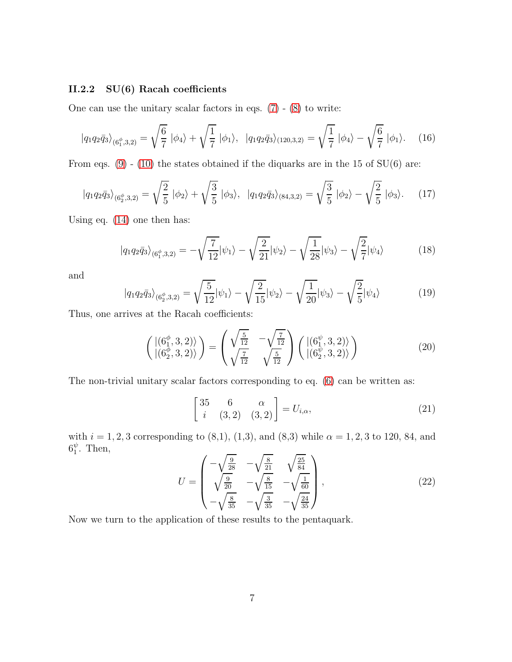#### II.2.2 SU(6) Racah coefficients

One can use the unitary scalar factors in eqs.  $(7) - (8)$  $(7) - (8)$  to write:

<span id="page-6-0"></span>
$$
|q_1 q_2 \bar{q}_3\rangle_{(6_1^{\phi},3,2)} = \sqrt{\frac{6}{7}} |\phi_4\rangle + \sqrt{\frac{1}{7}} |\phi_1\rangle, \quad |q_1 q_2 \bar{q}_3\rangle_{(120,3,2)} = \sqrt{\frac{1}{7}} |\phi_4\rangle - \sqrt{\frac{6}{7}} |\phi_1\rangle. \quad (16)
$$

From eqs.  $(9)$  -  $(10)$  the states obtained if the diquarks are in the 15 of SU(6) are:

<span id="page-6-1"></span>
$$
|q_1 q_2 \bar{q}_3\rangle_{(6_2^{\phi},3,2)} = \sqrt{\frac{2}{5}} |\phi_2\rangle + \sqrt{\frac{3}{5}} |\phi_3\rangle, \quad |q_1 q_2 \bar{q}_3\rangle_{(84,3,2)} = \sqrt{\frac{3}{5}} |\phi_2\rangle - \sqrt{\frac{2}{5}} |\phi_3\rangle. \tag{17}
$$

Using eq. [\(14\)](#page-5-0) one then has:

$$
|q_1 q_2 \bar{q}_3\rangle_{(6_1^{\phi},3,2)} = -\sqrt{\frac{7}{12}}|\psi_1\rangle - \sqrt{\frac{2}{21}}|\psi_2\rangle - \sqrt{\frac{1}{28}}|\psi_3\rangle - \sqrt{\frac{2}{7}}|\psi_4\rangle
$$
 (18)

and

$$
|q_1 q_2 \bar{q}_3\rangle_{(6_2^{\phi},3,2)} = \sqrt{\frac{5}{12}} |\psi_1\rangle - \sqrt{\frac{2}{15}} |\psi_2\rangle - \sqrt{\frac{1}{20}} |\psi_3\rangle - \sqrt{\frac{2}{5}} |\psi_4\rangle
$$
 (19)

Thus, one arrives at the Racah coefficients:

$$
\begin{pmatrix}\n\left|\left(6_1^{\phi},3,2\right)\right\rangle \\
\left|\left(6_2^{\phi},3,2\right)\right\rangle\n\end{pmatrix} = \begin{pmatrix}\n\sqrt{\frac{5}{12}} & -\sqrt{\frac{7}{12}} \\
\sqrt{\frac{7}{12}} & \sqrt{\frac{5}{12}}\n\end{pmatrix}\n\begin{pmatrix}\n\left|\left(6_1^{\psi},3,2\right)\right\rangle \\
\left|\left(6_2^{\psi},3,2\right)\right\rangle\n\end{pmatrix} \tag{20}
$$

The non-trivial unitary scalar factors corresponding to eq. [\(6\)](#page-3-0) can be written as:

$$
\begin{bmatrix} 35 & 6 & \alpha \\ i & (3,2) & (3,2) \end{bmatrix} = U_{i,\alpha},\tag{21}
$$

with  $i = 1, 2, 3$  corresponding to (8,1), (1,3), and (8,3) while  $\alpha = 1, 2, 3$  to 120, 84, and  $6^\psi_1$  $j<sub>1</sub>$ . Then,

$$
U = \begin{pmatrix} -\sqrt{\frac{9}{28}} & -\sqrt{\frac{8}{21}} & \sqrt{\frac{25}{84}}\\ \sqrt{\frac{9}{20}} & -\sqrt{\frac{8}{15}} & -\sqrt{\frac{1}{60}}\\ -\sqrt{\frac{8}{35}} & -\sqrt{\frac{3}{35}} & -\sqrt{\frac{24}{35}} \end{pmatrix},
$$
(22)

Now we turn to the application of these results to the pentaquark.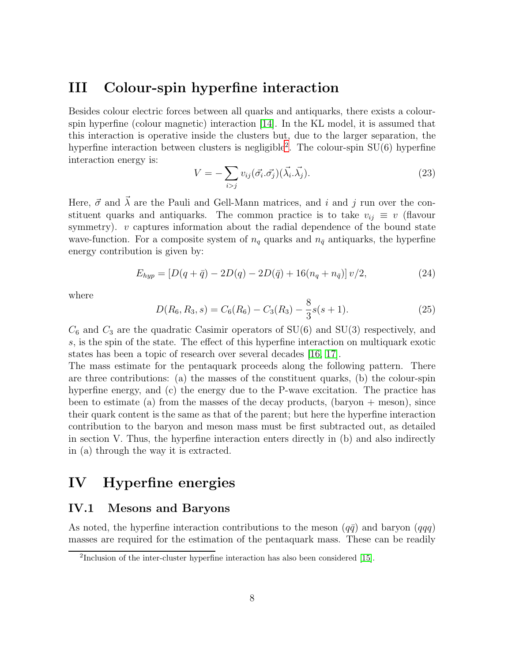## III Colour-spin hyperfine interaction

Besides colour electric forces between all quarks and antiquarks, there exists a colourspin hyperfine (colour magnetic) interaction [\[14\]](#page-16-7). In the KL model, it is assumed that this interaction is operative inside the clusters but, due to the larger separation, the hyperfine interaction between clusters is negligible<sup>[2](#page-7-0)</sup>. The colour-spin SU(6) hyperfine interaction energy is:

<span id="page-7-2"></span>
$$
V = -\sum_{i>j} v_{ij} (\vec{\sigma_i} \cdot \vec{\sigma_j}) (\vec{\lambda_i} \cdot \vec{\lambda_j}).
$$
\n(23)

Here,  $\vec{\sigma}$  and  $\vec{\lambda}$  are the Pauli and Gell-Mann matrices, and i and j run over the constituent quarks and antiquarks. The common practice is to take  $v_{ij} \equiv v$  (flavour symmetry).  $v$  captures information about the radial dependence of the bound state wave-function. For a composite system of  $n_q$  quarks and  $n_{\bar{q}}$  antiquarks, the hyperfine energy contribution is given by:

<span id="page-7-1"></span>
$$
E_{hyp} = [D(q + \bar{q}) - 2D(q) - 2D(\bar{q}) + 16(n_q + n_{\bar{q}})]\nu/2,
$$
\n(24)

where

$$
D(R_6, R_3, s) = C_6(R_6) - C_3(R_3) - \frac{8}{3}s(s+1).
$$
 (25)

 $C_6$  and  $C_3$  are the quadratic Casimir operators of SU(6) and SU(3) respectively, and s, is the spin of the state. The effect of this hyperfine interaction on multiquark exotic states has been a topic of research over several decades [\[16,](#page-16-8) [17\]](#page-16-9).

The mass estimate for the pentaquark proceeds along the following pattern. There are three contributions: (a) the masses of the constituent quarks, (b) the colour-spin hyperfine energy, and (c) the energy due to the P-wave excitation. The practice has been to estimate (a) from the masses of the decay products, (baryon  $+$  meson), since their quark content is the same as that of the parent; but here the hyperfine interaction contribution to the baryon and meson mass must be first subtracted out, as detailed in section V. Thus, the hyperfine interaction enters directly in (b) and also indirectly in (a) through the way it is extracted.

# IV Hyperfine energies

### IV.1 Mesons and Baryons

As noted, the hyperfine interaction contributions to the meson  $(q\bar{q})$  and baryon  $(q\bar{q})$ masses are required for the estimation of the pentaquark mass. These can be readily

<span id="page-7-0"></span><sup>&</sup>lt;sup>2</sup>Inclusion of the inter-cluster hyperfine interaction has also been considered [\[15\]](#page-16-10).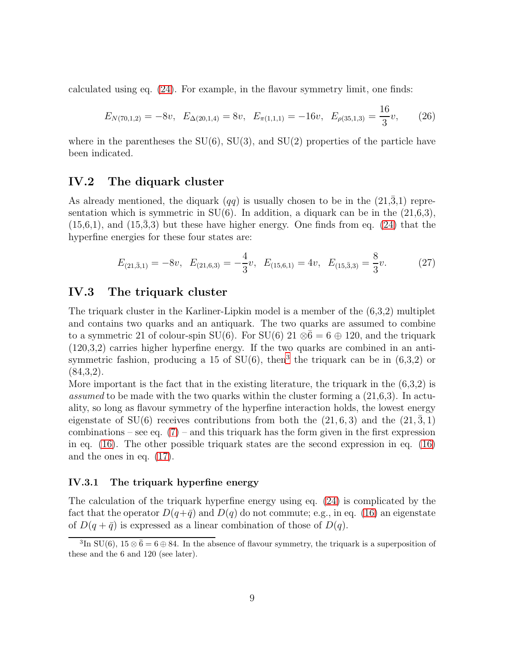calculated using eq. [\(24\)](#page-7-1). For example, in the flavour symmetry limit, one finds:

<span id="page-8-1"></span>
$$
E_{N(70,1,2)} = -8v, \quad E_{\Delta(20,1,4)} = 8v, \quad E_{\pi(1,1,1)} = -16v, \quad E_{\rho(35,1,3)} = \frac{16}{3}v,\tag{26}
$$

where in the parentheses the  $SU(6)$ ,  $SU(3)$ , and  $SU(2)$  properties of the particle have been indicated.

### IV.2 The diquark cluster

As already mentioned, the diquark  $(qq)$  is usually chosen to be in the  $(21,3,1)$  representation which is symmetric in  $SU(6)$ . In addition, a diquark can be in the  $(21,6,3)$ ,  $(15,6,1)$ , and  $(15,3,3)$  but these have higher energy. One finds from eq.  $(24)$  that the hyperfine energies for these four states are:

<span id="page-8-2"></span>
$$
E_{(21,\bar{3},1)} = -8v, \quad E_{(21,6,3)} = -\frac{4}{3}v, \quad E_{(15,6,1)} = 4v, \quad E_{(15,\bar{3},3)} = \frac{8}{3}v. \tag{27}
$$

## IV.3 The triquark cluster

The triquark cluster in the Karliner-Lipkin model is a member of the (6,3,2) multiplet and contains two quarks and an antiquark. The two quarks are assumed to combine to a symmetric 21 of colour-spin SU(6). For SU(6)  $21 \otimes \bar{6} = 6 \oplus 120$ , and the triquark  $(120,3,2)$  carries higher hyperfine energy. If the two quarks are combined in an antisymmetric fashion, producing a 15 of  $SU(6)$ , then<sup>[3](#page-8-0)</sup> the triquark can be in  $(6,3,2)$  or  $(84,3,2)$ .

More important is the fact that in the existing literature, the triquark in the  $(6,3,2)$  is assumed to be made with the two quarks within the cluster forming a  $(21,6,3)$ . In actuality, so long as flavour symmetry of the hyperfine interaction holds, the lowest energy eigenstate of  $SU(6)$  receives contributions from both the  $(21, 6, 3)$  and the  $(21, 3, 1)$ combinations – see eq.  $(7)$  – and this triquark has the form given in the first expression in eq. [\(16\)](#page-6-0). The other possible triquark states are the second expression in eq. [\(16\)](#page-6-0) and the ones in eq. [\(17\)](#page-6-1).

#### IV.3.1 The triquark hyperfine energy

The calculation of the triquark hyperfine energy using eq. [\(24\)](#page-7-1) is complicated by the fact that the operator  $D(q+\bar q)$  and  $D(q)$  do not commute; e.g., in eq. [\(16\)](#page-6-0) an eigenstate of  $D(q + \bar{q})$  is expressed as a linear combination of those of  $D(q)$ .

<span id="page-8-0"></span><sup>&</sup>lt;sup>3</sup>In SU(6),  $15 \otimes \bar{6} = 6 \oplus 84$ . In the absence of flavour symmetry, the triquark is a superposition of these and the 6 and 120 (see later).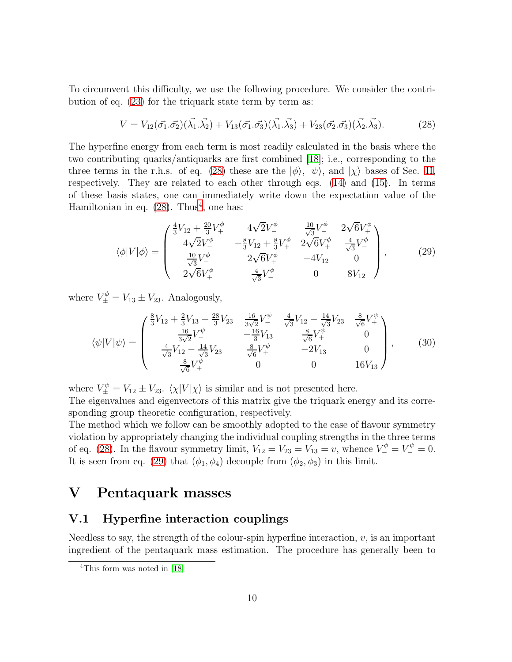To circumvent this difficulty, we use the following procedure. We consider the contribution of eq. [\(23\)](#page-7-2) for the triquark state term by term as:

<span id="page-9-0"></span>
$$
V = V_{12}(\vec{\sigma_1} \cdot \vec{\sigma_2})(\vec{\lambda_1} \cdot \vec{\lambda_2}) + V_{13}(\vec{\sigma_1} \cdot \vec{\sigma_3})(\vec{\lambda_1} \cdot \vec{\lambda_3}) + V_{23}(\vec{\sigma_2} \cdot \vec{\sigma_3})(\vec{\lambda_2} \cdot \vec{\lambda_3}).
$$
 (28)

The hyperfine energy from each term is most readily calculated in the basis where the two contributing quarks/antiquarks are first combined [\[18\]](#page-16-11); i.e., corresponding to the three terms in the r.h.s. of eq. [\(28\)](#page-9-0) these are the  $|\phi\rangle$ ,  $|\psi\rangle$ , and  $|\chi\rangle$  bases of Sec. [II,](#page-2-1) respectively. They are related to each other through eqs. [\(14\)](#page-5-0) and [\(15\)](#page-5-1). In terms of these basis states, one can immediately write down the expectation value of the Hamiltonian in eq.  $(28)$ . Thus<sup>[4](#page-9-1)</sup>, one has:

<span id="page-9-2"></span>
$$
\langle \phi | V | \phi \rangle = \begin{pmatrix} \frac{4}{3}V_{12} + \frac{20}{3}V_{+}^{\phi} & 4\sqrt{2}V_{-}^{\phi} & \frac{10}{\sqrt{3}}V_{-}^{\phi} & 2\sqrt{6}V_{+}^{\phi} \\ 4\sqrt{2}V_{-}^{\phi} & -\frac{8}{3}V_{12} + \frac{8}{3}V_{+}^{\phi} & 2\sqrt{6}V_{+}^{\phi} & \frac{4}{\sqrt{3}}V_{-}^{\phi} \\ \frac{10}{\sqrt{3}}V_{-}^{\phi} & 2\sqrt{6}V_{+}^{\phi} & -4V_{12} & 0 \\ 2\sqrt{6}V_{+}^{\phi} & \frac{4}{\sqrt{3}}V_{-}^{\phi} & 0 & 8V_{12} \end{pmatrix},
$$
 (29)

where  $V_{\pm}^{\phi} = V_{13} \pm V_{23}$ . Analogously,

$$
\langle \psi | V | \psi \rangle = \begin{pmatrix} \frac{8}{3}V_{12} + \frac{2}{3}V_{13} + \frac{28}{3}V_{23} & \frac{16}{3\sqrt{2}}V_{-}^{\psi} & \frac{4}{\sqrt{3}}V_{12} - \frac{14}{\sqrt{3}}V_{23} & \frac{8}{\sqrt{6}}V_{+}^{\psi} \\ \frac{16}{3\sqrt{2}}V_{-}^{\psi} & -\frac{16}{3}V_{13} & \frac{8}{\sqrt{6}}V_{+}^{\psi} & 0 \\ \frac{4}{\sqrt{3}}V_{12} - \frac{14}{\sqrt{3}}V_{23} & \frac{8}{\sqrt{6}}V_{+}^{\psi} & -2V_{13} & 0 \\ \frac{8}{\sqrt{6}}V_{+}^{\psi} & 0 & 0 & 16V_{13} \end{pmatrix}, \quad (30)
$$

where  $V_{\pm}^{\psi} = V_{12} \pm V_{23}$ .  $\langle \chi | V | \chi \rangle$  is similar and is not presented here.

The eigenvalues and eigenvectors of this matrix give the triquark energy and its corresponding group theoretic configuration, respectively.

The method which we follow can be smoothly adopted to the case of flavour symmetry violation by appropriately changing the individual coupling strengths in the three terms of eq. [\(28\)](#page-9-0). In the flavour symmetry limit,  $V_{12} = V_{23} = V_{13} = v$ , whence  $V_{-}^{\phi} = V_{-}^{\psi} = 0$ . It is seen from eq. [\(29\)](#page-9-2) that  $(\phi_1, \phi_4)$  decouple from  $(\phi_2, \phi_3)$  in this limit.

## V Pentaquark masses

## V.1 Hyperfine interaction couplings

Needless to say, the strength of the colour-spin hyperfine interaction,  $v$ , is an important ingredient of the pentaquark mass estimation. The procedure has generally been to

<span id="page-9-1"></span><sup>&</sup>lt;sup>4</sup>This form was noted in [\[18\]](#page-16-11)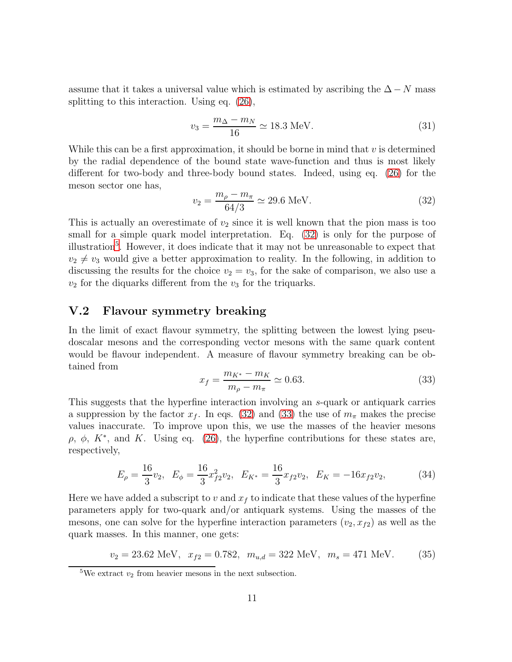assume that it takes a universal value which is estimated by ascribing the  $\Delta - N$  mass splitting to this interaction. Using eq. [\(26\)](#page-8-1),

$$
v_3 = \frac{m_{\Delta} - m_N}{16} \simeq 18.3 \text{ MeV}.
$$
 (31)

While this can be a first approximation, it should be borne in mind that  $v$  is determined by the radial dependence of the bound state wave-function and thus is most likely different for two-body and three-body bound states. Indeed, using eq. [\(26\)](#page-8-1) for the meson sector one has,

<span id="page-10-0"></span>
$$
v_2 = \frac{m_\rho - m_\pi}{64/3} \simeq 29.6 \text{ MeV}.
$$
 (32)

This is actually an overestimate of  $v_2$  since it is well known that the pion mass is too small for a simple quark model interpretation. Eq. [\(32\)](#page-10-0) is only for the purpose of illustration<sup>[5](#page-10-1)</sup>. However, it does indicate that it may not be unreasonable to expect that  $v_2 \neq v_3$  would give a better approximation to reality. In the following, in addition to discussing the results for the choice  $v_2 = v_3$ , for the sake of comparison, we also use a  $v_2$  for the diquarks different from the  $v_3$  for the triquarks.

## V.2 Flavour symmetry breaking

In the limit of exact flavour symmetry, the splitting between the lowest lying pseudoscalar mesons and the corresponding vector mesons with the same quark content would be flavour independent. A measure of flavour symmetry breaking can be obtained from

<span id="page-10-2"></span>
$$
x_f = \frac{m_{K^*} - m_K}{m_\rho - m_\pi} \simeq 0.63. \tag{33}
$$

This suggests that the hyperfine interaction involving an s-quark or antiquark carries a suppression by the factor  $x_f$ . In eqs. [\(32\)](#page-10-0) and [\(33\)](#page-10-2) the use of  $m_\pi$  makes the precise values inaccurate. To improve upon this, we use the masses of the heavier mesons  $ρ, φ, K<sup>*</sup>, and K. Using eq. (26), the hyperfine contributions for these states are,$  $ρ, φ, K<sup>*</sup>, and K. Using eq. (26), the hyperfine contributions for these states are,$  $ρ, φ, K<sup>*</sup>, and K. Using eq. (26), the hyperfine contributions for these states are,$ respectively,

$$
E_{\rho} = \frac{16}{3}v_2, \quad E_{\phi} = \frac{16}{3}x_{f2}^2v_2, \quad E_{K^*} = \frac{16}{3}x_{f2}v_2, \quad E_K = -16x_{f2}v_2,\tag{34}
$$

Here we have added a subscript to v and  $x<sub>f</sub>$  to indicate that these values of the hyperfine parameters apply for two-quark and/or antiquark systems. Using the masses of the mesons, one can solve for the hyperfine interaction parameters  $(v_2, x_{f2})$  as well as the quark masses. In this manner, one gets:

<span id="page-10-3"></span> $v_2 = 23.62 \text{ MeV}, \quad x_{f2} = 0.782, \quad m_{u,d} = 322 \text{ MeV}, \quad m_s = 471 \text{ MeV}.$  (35)

<span id="page-10-1"></span><sup>&</sup>lt;sup>5</sup>We extract  $v_2$  from heavier mesons in the next subsection.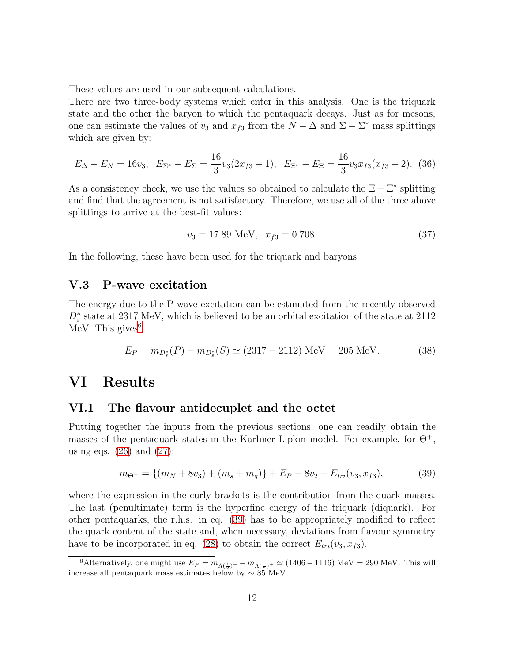These values are used in our subsequent calculations.

There are two three-body systems which enter in this analysis. One is the triquark state and the other the baryon to which the pentaquark decays. Just as for mesons, one can estimate the values of  $v_3$  and  $x_{f3}$  from the  $N - \Delta$  and  $\Sigma - \Sigma^*$  mass splittings which are given by:

$$
E_{\Delta} - E_N = 16v_3, \quad E_{\Sigma^*} - E_{\Sigma} = \frac{16}{3}v_3(2x_{f3} + 1), \quad E_{\Xi^*} - E_{\Xi} = \frac{16}{3}v_3x_{f3}(x_{f3} + 2). \tag{36}
$$

As a consistency check, we use the values so obtained to calculate the  $\Xi - \Xi^*$  splitting and find that the agreement is not satisfactory. Therefore, we use all of the three above splittings to arrive at the best-fit values:

<span id="page-11-2"></span>
$$
v_3 = 17.89 \text{ MeV}, \quad x_{f3} = 0.708. \tag{37}
$$

In the following, these have been used for the triquark and baryons.

#### V.3 P-wave excitation

The energy due to the P-wave excitation can be estimated from the recently observed  $D_s^*$  state at 2317 MeV, which is believed to be an orbital excitation of the state at 2112 MeV. This gives  $6$ 

<span id="page-11-3"></span>
$$
E_P = m_{D_s^*}(P) - m_{D_s^*}(S) \simeq (2317 - 2112) \text{ MeV} = 205 \text{ MeV}.
$$
 (38)

## VI Results

#### VI.1 The flavour antidecuplet and the octet

Putting together the inputs from the previous sections, one can readily obtain the masses of the pentaquark states in the Karliner-Lipkin model. For example, for  $\Theta^+$ , using eqs.  $(26)$  and  $(27)$ :

<span id="page-11-1"></span>
$$
m_{\Theta^+} = \{(m_N + 8v_3) + (m_s + m_q)\} + E_P - 8v_2 + E_{tri}(v_3, x_{f3}),\tag{39}
$$

where the expression in the curly brackets is the contribution from the quark masses. The last (penultimate) term is the hyperfine energy of the triquark (diquark). For other pentaquarks, the r.h.s. in eq. [\(39\)](#page-11-1) has to be appropriately modified to reflect the quark content of the state and, when necessary, deviations from flavour symmetry have to be incorporated in eq. [\(28\)](#page-9-0) to obtain the correct  $E_{tri}(v_3, x_{f3})$ .

<span id="page-11-0"></span><sup>&</sup>lt;sup>6</sup>Alternatively, one might use  $E_P = m_{\Lambda(\frac{1}{2})^-} - m_{\Lambda(\frac{1}{2})^+} \simeq (1406 - 1116) \text{ MeV} = 290 \text{ MeV}$ . This will increase all pentaquark mass estimates below by  $\sim 85$  MeV.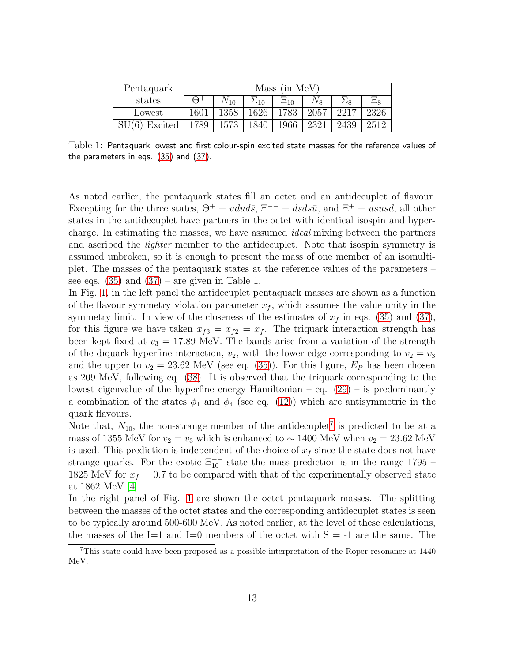| Pentaquark | (in MeV)<br>Mass |           |       |            |      |      |         |
|------------|------------------|-----------|-------|------------|------|------|---------|
| states     | (–)⊣             | $4V_{10}$ | $-10$ | $\Xi_{10}$ | .Vg  |      | $\Xi_8$ |
| Lowest     | 1601             | 1358      | 1626  | .783       | 2057 |      | 2326    |
| Excited    | 789              | 1573      |       | 1966       |      | 2439 | 2512    |

<span id="page-12-1"></span>Table 1: Pentaquark lowest and first colour-spin excited state masses for the reference values of the parameters in eqs. [\(35\)](#page-10-3) and [\(37\)](#page-11-2).

As noted earlier, the pentaquark states fill an octet and an antidecuplet of flavour. Excepting for the three states,  $\Theta^+ \equiv u du d\bar{s}$ ,  $\Xi^{--} \equiv ds ds \bar{u}$ , and  $\Xi^+ \equiv u s u s \bar{d}$ , all other states in the antidecuplet have partners in the octet with identical isospin and hypercharge. In estimating the masses, we have assumed ideal mixing between the partners and ascribed the *lighter* member to the antidecuplet. Note that isospin symmetry is assumed unbroken, so it is enough to present the mass of one member of an isomultiplet. The masses of the pentaquark states at the reference values of the parameters – see eqs.  $(35)$  and  $(37)$  – are given in Table 1.

In Fig. [1,](#page-13-0) in the left panel the antidecuplet pentaquark masses are shown as a function of the flavour symmetry violation parameter  $x_f$ , which assumes the value unity in the symmetry limit. In view of the closeness of the estimates of  $x<sub>f</sub>$  in eqs. [\(35\)](#page-10-3) and [\(37\)](#page-11-2), for this figure we have taken  $x_{f3} = x_{f2} = x_f$ . The triquark interaction strength has been kept fixed at  $v_3 = 17.89$  MeV. The bands arise from a variation of the strength of the diquark hyperfine interaction,  $v_2$ , with the lower edge corresponding to  $v_2 = v_3$ and the upper to  $v_2 = 23.62$  MeV (see eq. [\(35\)](#page-10-3)). For this figure,  $E_P$  has been chosen as 209 MeV, following eq. [\(38\)](#page-11-3). It is observed that the triquark corresponding to the lowest eigenvalue of the hyperfine energy Hamiltonian – eq. [\(29\)](#page-9-2) – is predominantly a combination of the states  $\phi_1$  and  $\phi_4$  (see eq. [\(12\)](#page-5-2)) which are antisymmetric in the quark flavours.

Note that,  $N_{10}$ , the non-strange member of the antidecuplet<sup>[7](#page-12-0)</sup> is predicted to be at a mass of 1355 MeV for  $v_2 = v_3$  which is enhanced to  $\sim 1400$  MeV when  $v_2 = 23.62$  MeV is used. This prediction is independent of the choice of  $x<sub>f</sub>$  since the state does not have strange quarks. For the exotic  $\Xi_{10}^{--}$  state the mass prediction is in the range 1795 – 1825 MeV for  $x_f = 0.7$  to be compared with that of the experimentally observed state at 1862 MeV [\[4\]](#page-15-3).

In the right panel of Fig. [1](#page-13-0) are shown the octet pentaquark masses. The splitting between the masses of the octet states and the corresponding antidecuplet states is seen to be typically around 500-600 MeV. As noted earlier, at the level of these calculations, the masses of the I=1 and I=0 members of the octet with  $S = -1$  are the same. The

<span id="page-12-0"></span><sup>7</sup>This state could have been proposed as a possible interpretation of the Roper resonance at 1440 MeV.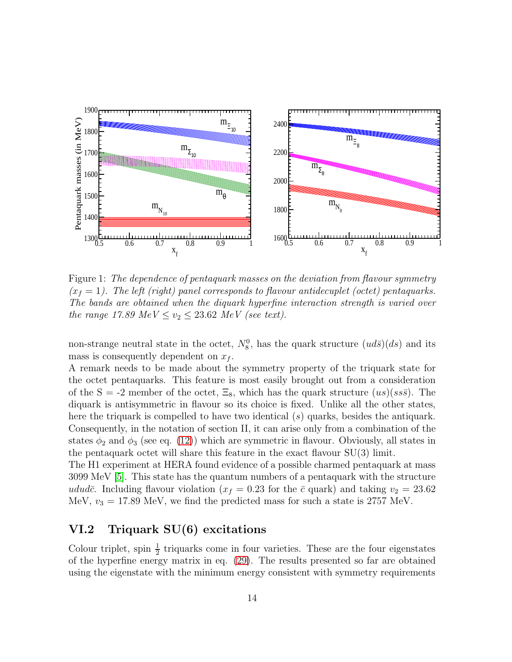

<span id="page-13-0"></span>Figure 1: The dependence of pentaquark masses on the deviation from flavour symmetry  $(x_f = 1)$ . The left (right) panel corresponds to flavour antidecuplet (octet) pentaquarks. The bands are obtained when the diquark hyperfine interaction strength is varied over the range 17.89 MeV  $\leq v_2 \leq 23.62$  MeV (see text).

non-strange neutral state in the octet,  $N_8^0$ , has the quark structure  $(ud\bar{s})(ds)$  and its mass is consequently dependent on  $x_f$ .

A remark needs to be made about the symmetry property of the triquark state for the octet pentaquarks. This feature is most easily brought out from a consideration of the S = -2 member of the octet,  $\Xi_8$ , which has the quark structure  $(us)(ss\bar{s})$ . The diquark is antisymmetric in flavour so its choice is fixed. Unlike all the other states, here the triquark is compelled to have two identical  $(s)$  quarks, besides the antiquark. Consequently, in the notation of section II, it can arise only from a combination of the states  $\phi_2$  and  $\phi_3$  (see eq. [\(12\)](#page-5-2)) which are symmetric in flavour. Obviously, all states in the pentaquark octet will share this feature in the exact flavour  $SU(3)$  limit.

The H1 experiment at HERA found evidence of a possible charmed pentaquark at mass 3099 MeV [\[5\]](#page-15-4). This state has the quantum numbers of a pentaquark with the structure ududc. Including flavour violation ( $x_f = 0.23$  for the  $\bar{c}$  quark) and taking  $v_2 = 23.62$ MeV,  $v_3 = 17.89$  MeV, we find the predicted mass for such a state is 2757 MeV.

## VI.2 Triquark SU(6) excitations

Colour triplet, spin  $\frac{1}{2}$  triquarks come in four varieties. These are the four eigenstates of the hyperfine energy matrix in eq. [\(29\)](#page-9-2). The results presented so far are obtained using the eigenstate with the minimum energy consistent with symmetry requirements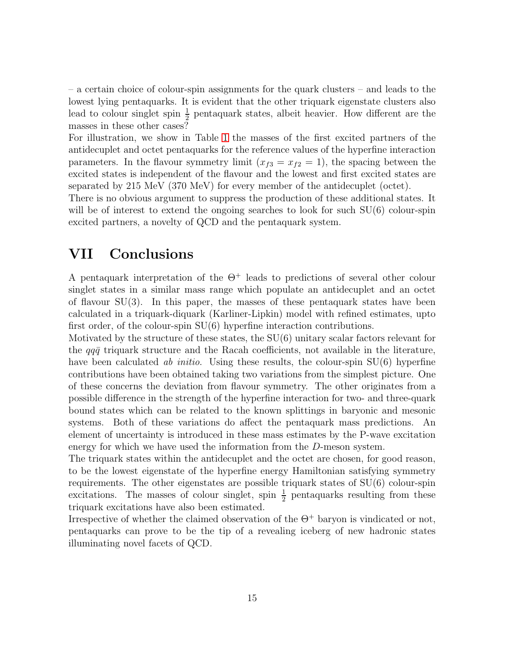– a certain choice of colour-spin assignments for the quark clusters – and leads to the lowest lying pentaquarks. It is evident that the other triquark eigenstate clusters also lead to colour singlet spin  $\frac{1}{2}$  pentaquark states, albeit heavier. How different are the masses in these other cases?

For illustration, we show in Table [1](#page-12-1) the masses of the first excited partners of the antidecuplet and octet pentaquarks for the reference values of the hyperfine interaction parameters. In the flavour symmetry limit  $(x_{f3} = x_{f2} = 1)$ , the spacing between the excited states is independent of the flavour and the lowest and first excited states are separated by 215 MeV (370 MeV) for every member of the antidecuplet (octet).

There is no obvious argument to suppress the production of these additional states. It will be of interest to extend the ongoing searches to look for such  $SU(6)$  colour-spin excited partners, a novelty of QCD and the pentaquark system.

# VII Conclusions

A pentaquark interpretation of the  $\Theta^+$  leads to predictions of several other colour singlet states in a similar mass range which populate an antidecuplet and an octet of flavour SU(3). In this paper, the masses of these pentaquark states have been calculated in a triquark-diquark (Karliner-Lipkin) model with refined estimates, upto first order, of the colour-spin SU(6) hyperfine interaction contributions.

Motivated by the structure of these states, the  $SU(6)$  unitary scalar factors relevant for the  $qq\bar{q}$  triquark structure and the Racah coefficients, not available in the literature, have been calculated *ab initio*. Using these results, the colour-spin  $SU(6)$  hyperfine contributions have been obtained taking two variations from the simplest picture. One of these concerns the deviation from flavour symmetry. The other originates from a possible difference in the strength of the hyperfine interaction for two- and three-quark bound states which can be related to the known splittings in baryonic and mesonic systems. Both of these variations do affect the pentaquark mass predictions. An element of uncertainty is introduced in these mass estimates by the P-wave excitation energy for which we have used the information from the D-meson system.

The triquark states within the antidecuplet and the octet are chosen, for good reason, to be the lowest eigenstate of the hyperfine energy Hamiltonian satisfying symmetry requirements. The other eigenstates are possible triquark states of SU(6) colour-spin excitations. The masses of colour singlet, spin  $\frac{1}{2}$  pentaquarks resulting from these triquark excitations have also been estimated.

Irrespective of whether the claimed observation of the  $\Theta^+$  baryon is vindicated or not, pentaquarks can prove to be the tip of a revealing iceberg of new hadronic states illuminating novel facets of QCD.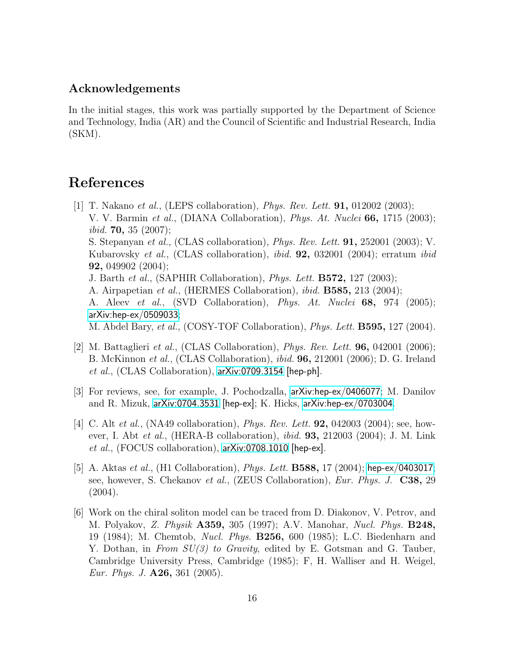## Acknowledgements

In the initial stages, this work was partially supported by the Department of Science and Technology, India (AR) and the Council of Scientific and Industrial Research, India (SKM).

# <span id="page-15-0"></span>References

- [1] T. Nakano et al., (LEPS collaboration), *Phys. Rev. Lett.* **91**, 012002 (2003); V. V. Barmin et al., (DIANA Collaboration), Phys. At. Nuclei 66, 1715 (2003); *ibid.* **70,** 35 (2007); S. Stepanyan *et al.*, (CLAS collaboration), *Phys. Rev. Lett.* **91**, 252001 (2003); V. Kubarovsky *et al.*, (CLAS collaboration), *ibid.* **92**, 032001 (2004); erratum *ibid* 92, 049902 (2004); J. Barth et al., (SAPHIR Collaboration), Phys. Lett. B572, 127 (2003); A. Airpapetian et al., (HERMES Collaboration), ibid. B585, 213 (2004); A. Aleev *et al.*, (SVD Collaboration), *Phys. At. Nuclei* 68, 974 (2005); [arXiv:hep-ex/0509033](http://arxiv.org/abs/hep-ex/0509033); M. Abdel Bary, et al., (COSY-TOF Collaboration), *Phys. Lett.* **B595**, 127 (2004).
- <span id="page-15-1"></span>[2] M. Battaglieri et al., (CLAS Collaboration), *Phys. Rev. Lett.* **96**, 042001 (2006); B. McKinnon et al., (CLAS Collaboration), ibid. 96, 212001 (2006); D. G. Ireland *et al.*, (CLAS Collaboration),  $arXiv:0709.3154$  [hep-ph].
- <span id="page-15-2"></span>[3] For reviews, see, for example, J. Pochodzalla, [arXiv:hep-ex/0406077](http://arxiv.org/abs/hep-ex/0406077); M. Danilov and R. Mizuk, [arXiv:0704.3531](http://arxiv.org/abs/0704.3531) [hep-ex]; K. Hicks, [arXiv:hep-ex/0703004](http://arxiv.org/abs/hep-ex/0703004).
- <span id="page-15-3"></span>[4] C. Alt *et al.*, (NA49 collaboration), *Phys. Rev. Lett.* **92**, 042003 (2004); see, however, I. Abt et al., (HERA-B collaboration), *ibid.* **93**, 212003 (2004); J. M. Link et al., (FOCUS collaboration), [arXiv:0708.1010](http://arxiv.org/abs/0708.1010) [hep-ex].
- <span id="page-15-4"></span>[5] A. Aktas et al., (H1 Collaboration), *Phys. Lett.* **B588**, 17 (2004); [hep-ex/0403017](http://arxiv.org/abs/hep-ex/0403017); see, however, S. Chekanov et al., (ZEUS Collaboration), Eur. Phys. J. C38, 29  $(2004).$
- <span id="page-15-5"></span>[6] Work on the chiral soliton model can be traced from D. Diakonov, V. Petrov, and M. Polyakov, Z. Physik A359, 305 (1997); A.V. Manohar, Nucl. Phys. B248, 19 (1984); M. Chemtob, Nucl. Phys. B256, 600 (1985); L.C. Biedenharn and Y. Dothan, in From  $SU(3)$  to Gravity, edited by E. Gotsman and G. Tauber, Cambridge University Press, Cambridge (1985); F, H. Walliser and H. Weigel, Eur. Phys. J. A26, 361 (2005).